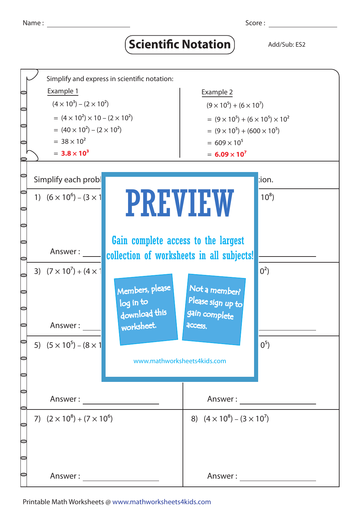## **Scientific Notation** Add/Sub: ES2



Printable Math Worksheets @ www.mathworksheets4kids.com